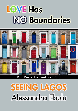# **LOVE Has NO Boundaries**



## Don't Read in the Closet Event 2013

# **SEEING LAGOS** Alessandra Ebulu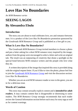# **Love Has No Boundaries**

*An M/M Romance series*

## **SEEING LAGOS By Alessandra Ebulu**

## **Introduction**

The story you are about to read celebrates love, sex and romance between men. It is a product of the *Love Has No Boundaries* promotion sponsored by the *Goodreads M/M Romance Group* and is published as a free gift to you.

## **What Is Love Has No Boundaries?**

The *Goodreads M/M Romance Group* invited members to choose a photo and pen a letter asking for a short M/M romance story inspired by the image; authors from the group were encouraged to select a letter and write an original tale. The result was an outpouring of creativity that shone a spotlight on the special bond between M/M romance writers and the people who love what they do.

A written description of the image that inspired this story is provided along with the original request letter. If you'd like to view the photo, please feel free to join the [Goodreads M/M Romance Group](http://www.goodreads.com/group/show/20149-m-m-romance) and visit the discussion section: *Love Has No Boundaries*.

Whether you are an avid M/M romance reader or new to the genre, you are in for a delicious treat.

### **Words of Caution**

This story may contain sexually explicit content and is **intended for adult readers.** It may contain content that is disagreeable or distressing to some readers. The *M/M Romance Group* strongly recommends that each reader review the General Information section before each story for story tags as well as for content warnings.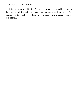This story is a work of fiction. Names, characters, places and incidents are the products of the author's imagination or are used fictitiously. Any resemblance to actual events, locales, or persons, living or dead, is entirely coincidental.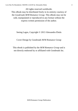All rights reserved worldwide. This eBook may be distributed freely in its entirety courtesy of the *Goodreads M/M Romance Group*. This eBook may not be sold, manipulated or reproduced in any format without the express written permission of the author.

Seeing Lagos, Copyright © 2013 Alessandra Ebulu

Cover Design by Goodreads M/M Romance Group

This ebook is published by the *M/M Romance Group* and is not directly endorsed by or affiliated with Goodreads Inc.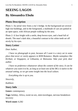## **SEEING LAGOS**

## **By Alessandra Ebulu**

### **Photo Description**

Photo 1: An aerial view from a city's bridge. In the background are several high rise buildings, and in the foreground, a multitude of cars are parked in an open space, with African people walking by the area.

Photo 2: A face bright with a smile, deep brown eyes, and a head full of dreads. The man's dark skin, a beautiful contrast to his white teeth set off nicely by his eyes.

#### **Story Letter**

*Dear Author,*

*I have no photograph to post, because all I want is a story set in some place that never or rarely appears in M/M Romance. Maybe someplace like Kiribati, or Singapore, or Lithuania, or Botswana. Take your pick, dear author.*

*I have no preference whatsoever about the content of the story. It can be whatever you want it to be, as long as at least one of the MCs is native to the unusual setting, so we get some insight into the local culture.*

*Everything else is up to you.*

*Sincerely,*

*Kathleen*

### **Story Info**

**Genre:** contemporary

**Tags:** holiday, Africa, sweet no sex, mini-travelogue, nervous breakdown recovery

**Word count:** 6,582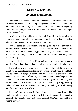## **SEEING LAGOS By Alessandra Ebulu**

Dámilólá woke up with a jolt to the screeching sounds of the alarm clock. He buried his head in his pillow, hoping against hope that the act would mute the volume. A minute later, he accepted his fate that he wouldn't be getting any more sleep and pushed off from the bed, until he rested with his thighs curved beneath him.

He blinked owlishly and looked at the clock. Five thirty in the morning. He suppressed a groan, unfolded his legs, and climbed out of the bed. He had an interview for nine, and he was already running late.

With the speed of one accustomed to being late, he rushed through his morning wash, brushed his teeth, and got dressed. He glanced at his wristwatch that now read 5:45 a.m., grabbed his keys and wallet, and ran out of the house. "Bíódún, lock the door," he shouted to his roommate and jogged to the bus stop.

It was pitch black, and the cold air had his body breaking out in goose pimples. Dámilólá rubbed hard at his chilled arms and took a deep breath.

The harsh glare of an oncoming car's headlights illuminated the area, and he put out his hands to signal to the driver, praying fervently that the lights he saw belonged to a *dánfó*—a commercial bus—and not a privately-owned vehicle. The sooner he left Ìkòròdú, the sooner he would be in Ìkejà, and the sooner he could run his errands at CMS. It was going to be another busy day. He wondered if it was too much to hope for something surprising, relaxing, and out of the ordinary to happen to him today. Something to help him snap out of the rut he was presently in.

The *dánfó* came to a stop in front of him and he hopped inside. The conductor called out in a shrill voice, "Mile twelve, Kétu, one fifty; Ojóta, two hundred; Maryland, two fifty; Yába three hundred. *Mú chángè e dání. Mi ò ní chángè lówó o*."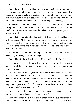Dámilólá rolled his eyes. That was the usual closing phrase uttered by every conductor and cab driver in Lagos. They *never* had any change. If a person was going to Yába and handed a one-thousand-naira note to a driver, that driver would complain, spew out some curses about one's family and, with a lot of grumbling, reluctantly hand over the person's change.

Some drivers were rude enough to ask that a passenger forget about the change because they didn't have any. Yet, if the reverse was the case, the conductor or driver would not leave their change with any passenger. It was just not possible.

Dámilólá took out a two-hundred-naira note from his wallet and handed it to the conductor. All that was left was for him to get some breakfast and some sleep. It would take him about two and a half hours to get to Ojóta, considering the traffic, and there was no way he was going to stay awake for that period of time.

The bus crawled from the Ìkòròdú garage to the Agric bus stop, where it had to stop to load up on more passengers.

Dámilólá noticed a girl with loaves of bread and called, "Bread."

She immediately rushed over with her tray and began to push her wares at him. He decided on eighty-naira bread and seventy-naira *Àkàrà,* along with a sachet of water.

He settled back in his seat, cut off a bit of bread, and placed an *Àkàrà* ball in between the bread. He bit into his food, and his mouth was filled with the delicious taste of bean balls fried in palm oil and spiced with pepper and onions. Dámilólá moaned and polished off the rest of the meal. With a few gulps, he emptied the sachet of its contents. That done, he rested his head against the windowpane and dozed off.

He woke up to a light tapping and opened weary eyes to stare at a fellow passenger who pointed outside. "We're at Ojóta."

Dámilólá mumbled his thanks and alighted from the bus. He joined the crowd of people who were all heading to the *dánfós* that were in a queue. Ìkejà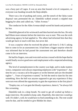was a busy part of Lagos. It was an area that housed a lot of companies, so everyone was heading towards the Ìkejà *dánfós*.

There was a lot of pushing and curses, and the stench of the Ojóta waste disposal vans permeated the air. Dámilólá walked around a crippled man begging for alms and called out, "Allen Avenue."

The conductor for the Allen Avenue *dánfó* waved his hands and pointed at his bus.

Dámilólá glanced at his wristwatch and then hurried onto the bus. He only had fifteen more minutes before the interview was to start. This was the sixth advertising agency he had applied to. The others had informed him that they would get back in touch with him, but never did.

It was a surprise when he received the phone call from S, O & U asking him to come in for an assessment test. It had been a bigger surprise when he was informed that he had passed the assessment test and therefore should come in for an interview.

He had his fingers, toes and even mid-section crossed with the hope that he would finally receive good news and employment with a respected advertising agency.

The level of unemployment in the country was high, and to make matters worse, companies were always requesting employees with "experience". Any time he saw a vacancy ad in the papers or on the Internet and saw the dreaded tagline "…Years of experience wanted," he felt the need to slam his fist into something. How the hell was anyone supposed to get any experience if they were not even offered the opportunity to gain the experience in the first place?

"Employ me, so I can gain the bloody experience, damn it," he always felt like screaming.

Dámilólá took in a deep breath. No need to get all worked up before a major interview. He needed to keep calm. Hopefully, this interview would go well. If it didn't, well, he would have to find something to do. The rent would soon be due, and he needed to give Bíódún his share.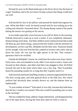He kept his eyes on the Ìkejà landscape as the driver drove into the heart of Lagos' heartbeat, and in his own heart, he kept a prayer that things would turn out well.

\*\*\*\*

Solá buried his face in his pillows and pressed his hands hard against his ears. When that didn't work, he turned around until he was looking up at the ceiling and released a frustrated shout. The thump-thump sound of the pestle hitting the mortar was grating on his nerves.

It was made especially worse because it was still six thirty in the morning. Nobody deserved to wake up to such a racket. It was completely inhumane. Human beings need sleep. And little children need a balanced meal that would fill them up, give them energy, and provide their bodies with the nutrients for development, not the crap Mrs. Bólújòkó fed the little ones. Someone should set her straight. Solá rose from the bed, yanked on trousers and a shirt, and ran down the stairs. He was just the right person to do that. That woman's ignorance had to be rectified.

Outside the Bólújòkó's house, he could hear the racket even more clearly. Early risers, who were headed to work, didn't even seem to notice. Some were focused on their phones, and others had their ears plugged as they all drifted towards the end of the street where there was a bus stop. They'd probably heard the pounding sounds for so long that they'd gotten used to it.

Solá knocked and heard shuffling sounds as someone approached the door. The door swung open, and Solá glanced down at the little boy. His school uniform had obviously been recently thrown on, and the buttons done up haphazardly.

"Is your mother at home?" Solá asked. It was silly, because they both knew that the boy's mother was around. Who else would be pounding yam so early in the morning?

The boy nodded his head, jabbed a finger behind him, and disappeared into one of the open doors, leaving the front door open for Solá to come in.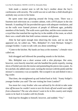Solá made a mental note to tell the boy's mother about the boy's carelessness with security. The world was not so safe that a child should give anybody easy access to his home.

He spent some time glancing around the living room. There was a fourteen-inch television on a wooden cabinet, with a DVD player in the slot beneath. A standing OX fan provided the space with adequate ventilation, and on the walls were framed pictures of people of different ages, probably members of the family. The walls were a pale blue, and the worn curtains were a royal blue that matched the rug that lay in the middle of the room, on which there was a small table that held various remotes and glasses.

After he had spent enough time observing the room, and no one had appeared yet, he called out, "Mrs. Bólújòkó? It's Solá Michael. Solápé's younger brother. I came to talk with you about something."

"Come to the kitchen. My hands are busy at the moment," a female voice called out.

Solá shrugged and followed the pounding sounds to the kitchen.

Mrs. Bólújòkó was a short woman with a slim physique. Her arms, however, were heavily muscled, and she handled the pestle expertly, tossing slices of boiled yam into the mortar and pummeling the pieces into a paste. As he watched, she added some water, turning the mixture with the pestle until the mixture's consistency was acceptable. She scooped it out and dished it into a big cooler.

That done, she straightened up and looked hard at Solá. "Aunty Solápé's younger brother you said? The one visiting her from London?"

*You mean her crazy brother who was advised by his shrink to take some time off because he couldn't seem to turn his brain off and would soon suffer from exhaustion? The one who doesn't want to be in this country and simply wants to be back in London with his friends.*

Solá kept his thoughts to himself, however, and nodded. "Yes."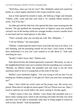"Well then, what can I do for you?" Mrs. Bólújòkó asked and wiped her hands on a clean napkin attached to the *wrapa* round her waist.

Just as Solá opened his mouth to reply, she held up a finger and shouted, "Gbémi, Lékè, come and take your food *o*. It's already fifteen minutes to seven. You'll be late."

An older girl and the little boy who opened the door came running into the kitchen. The girl grabbed the steaming bowl of *Ogbono* soup and carefully carried it out of the kitchen while her younger brother carried a smaller bowl in one hand and two small glasses in the other.

"That's actually what you can help me with. Mrs. Bólújòkó…"

"Call me Détóún," she interrupted.

"Détóún. I understand the need to have your kids fed, but at six thirty, I'm still sleeping, and the pounding sounds are too loud. I don't know if others have mentioned it to you, but I just wanted us to talk about it," Solá said, watching her eyes.

"Really? I didn't know that," Détóún said.

Solá observed that she looked genuinely surprised. Obviously, no one in the neighborhood had come out to mention that her pounding was a nuisance. "Besides, no offence meant, but pounded yam and soup is not the most nutritious meal to serve to young kids at this time of the day."

Détóún's eyes hardened slightly. "Are you trying to tell me that I'm not feeding my children properly? *E mà gbà mí?* Have you seen how strong they are?"

*Okay. I don't think my words came out the proper way. She seems very pissed. What does* E mà gbà mí *mean again? Oh yes! Please save me. Okay, I need to rephrase my words before she starts ranting in Yoruba again.*

"I didn't mean it that way, Détóún. I just meant that pounded yam is a heavy meal. Eating such a meal in the morning will make the kids very tired and they won't be able to assimilate what they're being taught in school as well as they should," Solá backpedaled.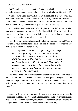Détóún took in some deep breaths. "But that's what I've been feeding them for so long. And no one has complained. Their grades haven't turned bad."

"I'm not saying that they will suddenly start failing. I'm just saying that they won't perform as well as they should. Just try something different for some months. Try some cereal like Golden Morn or cornflakes. Give them oats, spaghetti, rice, and occasionally boiled yam. It will help."

Solá held his breath as he watched multiple emotions flash across Détóún's face as she considered his words. She finally nodded. "All right. I will do as you suggest. Although, what is also helping your case is that my pounding yam disturbs you in the mornings," she added.

Forty-five minutes later, his stomach full of the pounded yam and *Ogbono* soup that Détóún had insisted he eat, he entered the house. He spotted the note that his sister left on the center table.

*I've gone to work. Whenever you can, please can you help me out by picking up some clothes and books at CMS? There's a tailor's shop just beside the First Bank branch at CMS. Just ask for Adéòtí. Tell her I sent you, and she will hand over the package. I've already called her, and she's expecting you. I really do need them today, but it will be too late for me to pick them up. Take the time to enjoy Lagos a bit while you're at it.* 

She'd included a smiley face at the end of the note. Solá shook his head at his sister's silliness and placed the note in his back pocket. He glanced at the clock hanging on the wall. It now read seven forty-five. There was no need to rush. He would watch some reruns of *Law and Order* and be on his way at about four.

\*\*\*\*

Lagos in the evening was loud. It was like a rock concert, with the screeching and the horns representing instruments, and people's movements like dancers. The conversations, arguments, and shouts were all lyrics to the song of people who live in and have grown to love the city.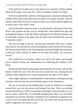Solá could see it in their eyes, in the jaunty way a majority of them walked. They loved Lagos, every part of it. Their excitement couldn't be faked.

He'd reconsidered the wisdom of driving around, constantly halting in the middle of the road to ask where the First Bank was located. Besides, with the narrow routes that were all too common, there was a chance that he might have to walk to get to the tailor's shop.

So he'd decided to park his sister's car and asked for directions from a bus driver who pointed out the road he should take. Solá thanked the man and immediately began to walk. He'd been walking now for about ten minutes, and he still hadn't gotten to the place that the driver had informed him was just "'round the corner".

The sun was high in the sky, and the heat turned his shirt into a soaked mess that he was sure did not smell anything like it had when he left the house. His throat felt parched as well. Immediately he had the thought, he motioned at a little girl with a bucket of drinks on her head and asked, "Do you have Teem?"

She reached into her bucket, which was still on her head, and brought down a bottle of Teem, the condensation on it indicating the coldness of the drink.

He downed the drink in quick gulps and handed her the money. He raised a hand to shield his eyes from the sun and scanned the area, looking for the familiar white elephant set in a blue background, the logo of First Bank.

Solá caught a glimpse of something blue in the distance and began moving forward, with the hope that he had finally gotten to his destination.

He was so focused on the building that he paid no attention to anything around him, not even the person who bumped into him. There was nothing unusual about the act. CMS was teeming with people, and everybody was in a hurry to get to where they were headed. Bumping into others was inevitable during the ever-present rush hour. Sometimes, he wondered if Lagosians ever went to work. No matter the time of the day, the roads were always busy and traffic congestion was forever a fact.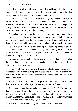It took him a while to notice that his shoulders had been relieved of a great weight. By the time his brain processed the information, the young thief had covered quite a distance with Solá's laptop bag in tow.

"Thief! Thief!" he screamed and watched the young crook race away with his bag. He mentally went through the valuables he had kept in the bag: his wallet full of cash and his ATM cards, his external hard drive, some gum, an extra pair of shoes that he planned to have a shoemaker—the local cobbler—to fix for him, and most importantly, his laptop.

Solá debated running after the boy, but the thief had gotten quite a head start and had chosen the most opportune time to carry out the theft. Cars were moving swiftly, and he couldn't start chasing the boy through traffic. None of those who were behind him did anything to help apprehend the thief, either.

Solá chewed his lower lip and contemplated returning home to tell his sister about the theft when someone raced by him, bumping into him in a hurry to get to wherever it was the other person was going. Solá swallowed an expletive. Today was just not his day.

He stooped down to pick up the package of books that had dropped when the pedestrian ran into him, when two sneakered feet walked into his line of vision. Solá's gaze travelled up.

He saw well-worn gray jeans, a T-shirt depicting a beach scene, a face brightened up with a smile, deep brown eyes, and a head full of dreads. The man's dark skin was a beautiful contrast to his white teeth and was set off nicely by his eyes.

Solá was so caught up in the man's gaze that it took him a while to notice that the man had his stolen laptop bag swung across his shoulder.

The stranger stooped down and picked up a copy of Sun Tzu's *Art of War* that had slid away from Solá's reach. He brought the now-torn paperback to Solá and said with a sheepish look, "I'm sorry I ran into you. I was in a hurry to apprehend the thief and it didn't occur to me that at the speed I was running, I would bump into you or damage your books."

The man handed Solá the bag and they both rose to their feet.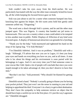Solá couldn't take his eyes away from the thief-catcher. He was particularly fascinated with the way the other man constantly licked his lower lip, all the while keeping his focused brown gaze on Solá.

Solá was just about to ask for a name when someone bumped into him, knocking him against his helper. He felt warm arms hold him gently until someone yelled out, "Disgusting."

The word sent a shock through Solá's system, and he and the other man jumped apart. This was Nigeria. A country that handed out jail terms to homosexuals. This was not a country where a man could admit to be tempted to kiss another man in public. Public Displays of Affection of any kind were frowned upon. A display of homosexual attraction was grounds for a lynching.

"Thank you for the help," Solá murmured and tightened his hand on the strap of his laptop bag. "I'm Solá Michael."

"I'm Dámilólá Adérèmí. And it was no problem," Dámilólá said with a laugh. "Although, I'll advise that now you are in Lagos, it's best you keep your eyes and hands on everything you have on you, and at all times. A man who is lax about his things and his environment is soon parted with his belongings in Lagos. And it's not every time you'll find someone come to your rescue like I did. Quite a lot of people will conclude that since you were stupid enough to be taken advantage of, then you don't deserve to have that item."

"But that's not fair," Solá protested. "Why should I be blamed for getting robbed?"

Dámilólá raised a hand. "Nobody's actually going to blame you for having your pocket picked. They just won't see the sense in running to your aid and helping to apprehend the thief. Everyone's in a hurry to get to their destination. They don't have the sympathy to help someone retrieve an object that he should have kept a careful eye on in the first place. It's just the way Lagosians are." Dámilólá shrugged.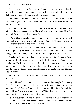"Lagosians sound a lot like jackasses," Solá retorted, then inhaled sharply. Maybe he had spoken too harshly. This was the city Dámilólá lived in, and that made him one of the Lagosians being spoken about.

Dámilólá laughed hard. "Well, some of us are," he admitted with a smile. "But you'll grow to love us and see the city as beautiful, enchanting, and utterly engaging."

Solá shook his head. "I do not intend to stay here for long enough to witness all the wonders of Lagos. I have a life to return to, a career. Plus, I do not think Lagos is actually the place for me."

"Who said anything about months—or even weeks?" Dámilólá asked with an impish grin. "Give me one night. Just a night, and I'll open your eyes to some of the wonders of this city I call home."

Solá stared at twinkling brown eyes, the infectious smile, and a lithe body that was presently balanced on its owner's heels and vibrating with contained energy. At that moment, Dámilólá looked like a big cat about to spring.

Slowly, the lethargy that had been with Solá ever since he got to Lagos began to lift, although he still retained his doubts about Lagos being captivating. The Lagos he knew was filthy, loud, and annoying. He didn't see how Dámilólá could make him love the place. However, only a fool would turn down an invitation with a beautiful man as his guide, and Solá Michael was not a fool.

He presented his hand to Dámilólá and said, "You have yourself a deal. Enchant me."

Dámilólá laughed. "Sure. Your first lesson is this. People don't really shake hands on the streets, unless they're business associates. Rather, we bump our fists." Dámilólá indicated that Solá should make a fist, and they bumped fists. "Now, where should we start?" Dámilólá mused and tugged on one of his dreads. His eyes scanned the area.

Solá however remembered his errands. "I need to pick up a dress for my sister. That was where I was heading when we bumped into each other. She said the tailor's shop is beside the First Bank."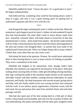Dámilólá nodded his head. "I know the place. It's a good place to start." He began walking briskly.

Solá followed him, wondering what could be fascinating about a tailor's shop in Lagos, and why it was a good starting point for getting him to understand Lagosians and fall in love with the city.

\*\*\*\*

Solá dropped the bags containing his sister's clothes on her bed. When the seamstress's girls began to pack his sister's clothes, he had wondered if maybe they had miscalculated. His sister didn't need so many dresses made from lace—beautiful, coloured, fabric with holes meant to reveal bits of skin that tantalized men's vision—skirts made from ankárá—the locally made material with its richly-coloured patterns that showcased the artistry and imagination of the men and women who designed them—or jackets that were made of the sophisticated Guinea brocade. What was Solápe doing with so many clothes? Clothes that, more often than not, she rarely wore?

Solá shook his head at the question. Women. He would never understand them or their burning desire to own as many articles of clothing as possible. They were a conundrum in his book.

Dámilólá had laughed at his amazement. Solá, though, hadn't been offended. His attention was captured by the busyness of the place: little girls rushing about carrying bolts of fabric; older girls threading sewing machines, their legs working the pedal as the machines made stitches on the materials; still-older women with their needles, creating intricate embroidery on ready materials; and finally, the head seamstress who moved around, giving advice and help, until she finally settled at her own sewing machine and continued with her work. It was artistry, speed, organization, a dramatic scene; with the end result, the joy and praises that came from satisfied clients who took their packages and left.

Solá had also spent part of his time staring hard at a little girl of about twelve, whose hands moved steadily and well over the swatches of fabric she was embroidering. She spoke animatedly with the other girls, laughed at their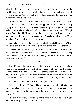jokes, but like the others, there was no misstep, no mistake in her work. She went through the swatches quickly, but it did not affect the quality of the work she was creating. The women all worked hard, mastered their craft, enjoyed their work, and were relaxed.

He and Dámilólá had been caught in mild traffic whilst they headed to his sister's house. Dámilólá had expressed disappointment at that but cheered up saying that the traffic they would encounter heading out of Lagos island would make up for it. The scandalized look he had given him made Dámilólá laugh before Dámilólá said, "There's no need to worry. Lagos traffic at its height is one that every Lagosian has to experience. Especially traffic on the Third Mainland Bridge, and you'll soon see why."

Dámilólá's voice from down the stairs jolted him out of the memory. "How long does it take to drop off some bags? Hurry or we'll miss the show."

"I'm coming," Solá replied, shutting his sister's door and hurrying out the door, all the while wondering what show they might be late for. The only thing Dámilólá had seemed excited about him seeing was the Third Mainland traffic. How was that a show?

\*\*\*\*

Third Mainland Bridge at night, in the thickest of traffic, was a sight to behold. Cars covered every inch of the bridge, and with their headlights shining strongly, the bridge was ablaze with colours and cars that looked like tiny ants moving slowly. The lights reflected on the ocean, multi-coloured flashes dancing on the surface of the water. It called to him, entranced him.

The cool air breezed into the car, cooling them off.

"It's beautiful, isn't it?" Dámilólá asked, grinning brightly. "This is how a lot of us relax on weeknights. Seeing this, listening to music and being tempted to jump into the ocean that calls to us to forget our worries and sorrows."

Solá shook his head. "I have no plans to jump into any water, thank you very much. I happen to value my life a lot."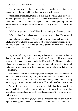"Just because you feel the urge doesn't mean you should give into it. It's enough to feel the call and know that you're one with nature."

At his disbelieving look, Dámilólá cranked up the volume, and the voice of the radio presenter filled the car. Solá, though, was focused on where else Dámilólá wanted to take him. He hoped it didn't involve jumping onto the beach under some misguided notion that it was a way to connect with nature's force.

"We'll soon get there," Dámilólá said, interrupting his thought process.

"Where's there? And what exactly are we going to do there?" Solá asked.

Dámilólá smiled. "*There* is Yába. And we're going to watch a rendition of Olá Rótìmí's *Our Husband Has Gone Mad Again*, whilst devouring a plate of hot *àmàlà* and *àbùlà* soup and drinking gourds of palm wine. It's an experience I want you to have."

\*\*\*\*

Lagosians definitely knew how to enjoy themselves. That was the thought that went through Solá's mind as he cut a bit of *Àmàlà*— a thick paste made from yam flour and hot water— and mixed it with hot *Àbùlà* soup— a mix of *Gbègìrì* and *Ewédú* soup. He tossed it into his mouth, followed by bits of fish and meat. He took the meal with copious amounts of palm wine that left him feeling hazy.

This feeling contributed to his enjoyment of the play, and he laughed hard with the audience at the hilarity of Léjokà-Brown and the way the return of his American wife, Lisa, threw his entire household into pandemonium, causing him to say good-bye to his political career and his traditionally-married wives.

By the time the actors and actresses gave their final bow, Solá found himself on his feet, clapping along with the rest of the crowd. Hell, he wished he could contact the playwright so he could congratulate Olá Rótìmí on a story well written.

"I can see you're having fun," Dámilólá breathed into his ear. "But the night is just beginning. Next stop is Ozone cinema. Let's watch a movie."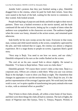Amidst Solá's protests that they just finished seeing a play, Dámilólá dragged him to the cinema, where he paid for both their tickets. Soon they were seated in the back of the hall, waiting for the movie to commence. As they waited, Solá looked around.

People had big bags of popcorn and drinks and held on tight to their movie partners. There was a hushed reverence as the movie started, and the hush continued till the end of the movie, letting up for a couple of times when the audience was sympathetic to the characters on screen. The audience laughed when the scene was funny, shouted at the action scenes, and remained quiet otherwise.

Solá briefly let his eyes sweep across the room. Everyone in that room, man, woman and child stared intently at the screen, completely captivated by the plot, and Solá realized that in Lagos, the cinema was almost a religious experience. Be it a stage drama or people on screen, Lagosians liked a good story.

"Next stop is Ìkejà. You need to see how we move, and our clubs," Dámilólá whispered in his ears as the credits flashed on the screen.

The cool air on his ears caused Solá to shiver slightly. He turned to Dámilólá. "I've been to Ìkejà before. There were no clubs there."

Dámilólá grinned. "Of course there weren't clubs at that time. Ìkejà is a corporate area. Offices are a dozen a mile there. What you saw was serious Ìkejà in the daylight. I want to show you Ìkejà at night. The chameleon that changes its appearance to suit the environment. That's Ìkejà for you. It's the perfect representation of the average Lagosian spirit. We work hard, but when work is over, we're quite capable of transforming into party animals who want to relax, with as minimal effort as possible."

\*\*\*\*

They'd been to three clubs already, all within a time frame of four hours, and there were three things the clubs all had in common. The lack of lights, the music of Nigerian stars like Iyanya, Terry G, Timaya, Psquare, Wizkid, et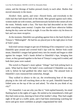cetera, and the throngs of bodies pressed closely to each other. Bodies that moved sinuously to the music.

Alcohol—beer, spirits, and wine—flowed freely, and everybody in the clubs had that half-dazed look of the drunk. Men ground against each other, women made out with women, and heterosexuals fucked in the corners all over the room. Nobody made a fuss. The haze that had descended on the clubs made everything seem normal. Couples that would have otherwise hidden during the day came out freely at night. It was like the entire city let down its hair and was more receptive.

At the moment, Dámilólá was grinding against him to the hard rhythm of Timaya's "Málonògèdì". He had his ass placed just in the right place in front of Solá's jeans.

Solá tried various images to get out of thinking of his companion's ass, but Dámilólá spun around and covered Solá's lips with his. Before Solá could moan, Dámilólá's tongue had gained entry into his mouth and began to slide against his tongue. Solá's hands drifted to Dámilólá's hips, bringing him closer, as they ground together to the beat of Timaya's song until it ended, and both their jeans were soaked.

The switch to Psquare's more upbeat "Alingo" had Solá jerking back in panic. What had he done? He hadn't even confirmed if Dámilólá was okay with it, before he had grabbed the other man's hips. The amused look in Dámilólá's eyes reassured him somewhat, though.

They walked in silence to the car, the reverberating beat of the songs playing in the club still reaching them at the car park. Dámilólá leaned his folded arms on the top of the car and asked, "So what do you think of my city?"

"It's beautiful. I can see why you like it," Solá replied honestly, his mind flashing back to the sights of Lagos. He smiled as he remembered a little girl they had come across, dancing in front of her mother's shop. They had caught sight of the girl at a traffic point, and it had been entertaining watching her move and grow more confident as people congratulated her skill.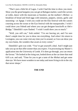"That's just a little bit of Lagos. I wish I had the time to show you more. Show you the great bargains you can get at Balogun market, watch the carvers at Lekki, dance with the musicians at Surulere, eat the *mallam's Mishai*—a breakfast of bread and fried eggs with tomatoes, peppers, onions, garlic and seasoning—at Agege. I wish you could see the Eko festival with the canoes coursing across the ocean or the Eyo festival with the masquerades. I wish I could show you Oshodi and where you can get designer knockoffs at Abé e Bridge," Dámilólá's eyes flashed. "I wish I could show you so much."

"Well, you still can," Solá smiled. "I'm not leaving yet, and I'm sure there's ample time for you to show me everything. And when I do return to Lexington, you can come visit any time you're around, so I too can show you my own home, the wonders that await at every corner."

Dámilólá's grin was wide. "You've got yourself a deal. And I might just take you up on that offer sooner than you expect. I'm processing my Master's application into the University of Leeds. If it does go through, you can return the favour." He looked at the rising sun, looked down at the car timer that read 6:05 a.m. and said, "Time for you to get a taste of the *Mishai* and get some shut eye. We have more wonders to see today and more living to do in the city that never sleeps."

#### **THE END**